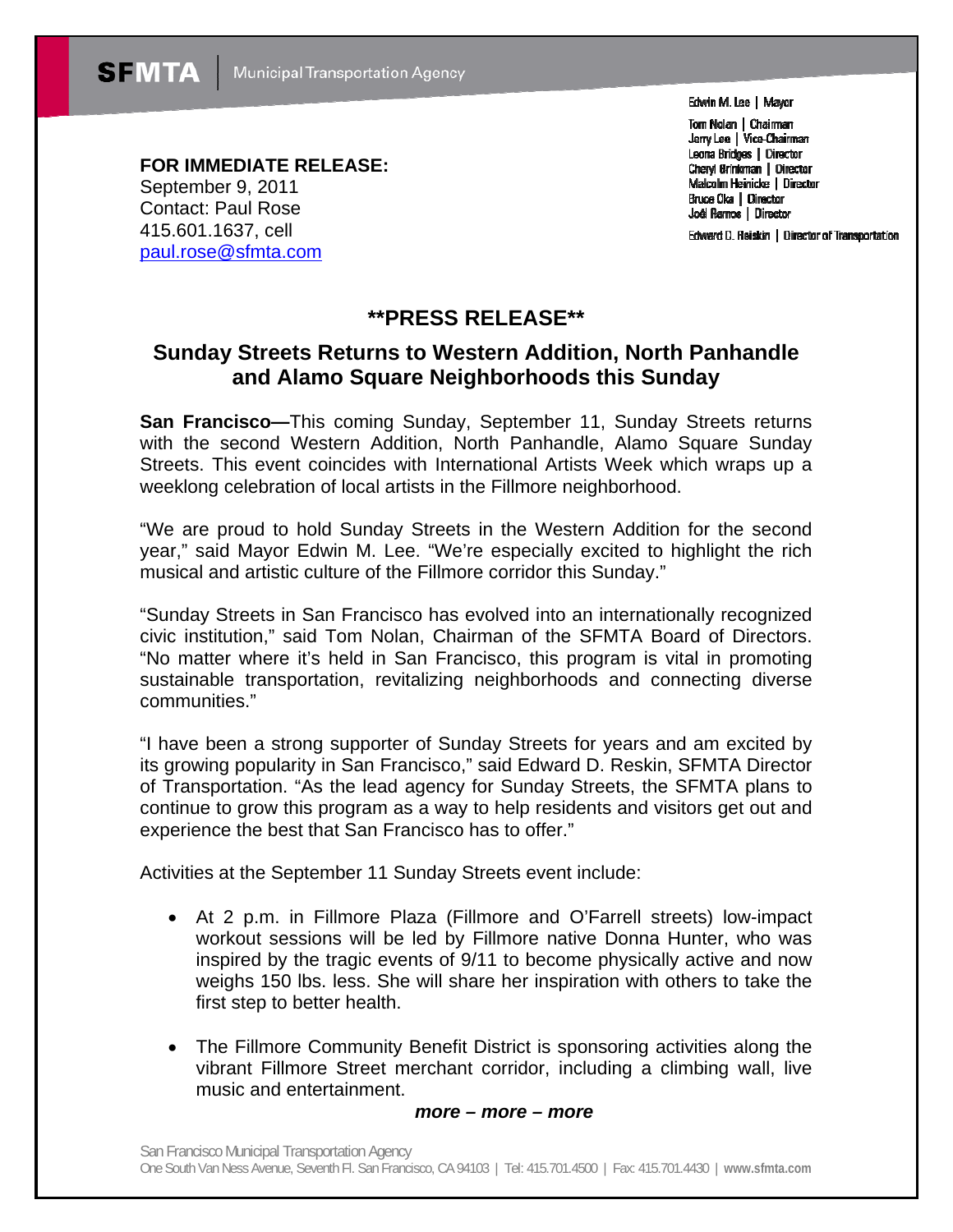Edwin M. Lee | Mayor

Tom Nolan | Chairman Jerry Lee | Vice-Chairman Leona Bridges | Director Cheryl Brinkman | Director Malcolm Heinicke | Director Bruce Oka | Director Joél Ramos | Director

Edward D. Reiskin | Director of Transportation

**FOR IMMEDIATE RELEASE:**  September 9, 2011 Contact: Paul Rose 415.601.1637, cell paul.rose@sfmta.com

## **\*\*PRESS RELEASE\*\***

## **Sunday Streets Returns to Western Addition, North Panhandle and Alamo Square Neighborhoods this Sunday**

**San Francisco—**This coming Sunday, September 11, Sunday Streets returns with the second Western Addition, North Panhandle, Alamo Square Sunday Streets. This event coincides with International Artists Week which wraps up a weeklong celebration of local artists in the Fillmore neighborhood.

"We are proud to hold Sunday Streets in the Western Addition for the second year," said Mayor Edwin M. Lee. "We're especially excited to highlight the rich musical and artistic culture of the Fillmore corridor this Sunday."

"Sunday Streets in San Francisco has evolved into an internationally recognized civic institution," said Tom Nolan, Chairman of the SFMTA Board of Directors. "No matter where it's held in San Francisco, this program is vital in promoting sustainable transportation, revitalizing neighborhoods and connecting diverse communities."

"I have been a strong supporter of Sunday Streets for years and am excited by its growing popularity in San Francisco," said Edward D. Reskin, SFMTA Director of Transportation. "As the lead agency for Sunday Streets, the SFMTA plans to continue to grow this program as a way to help residents and visitors get out and experience the best that San Francisco has to offer."

Activities at the September 11 Sunday Streets event include:

- At 2 p.m. in Fillmore Plaza (Fillmore and O'Farrell streets) low-impact workout sessions will be led by Fillmore native Donna Hunter, who was inspired by the tragic events of 9/11 to become physically active and now weighs 150 lbs. less. She will share her inspiration with others to take the first step to better health.
- The Fillmore Community Benefit District is sponsoring activities along the vibrant Fillmore Street merchant corridor, including a climbing wall, live music and entertainment.

## *more – more – more*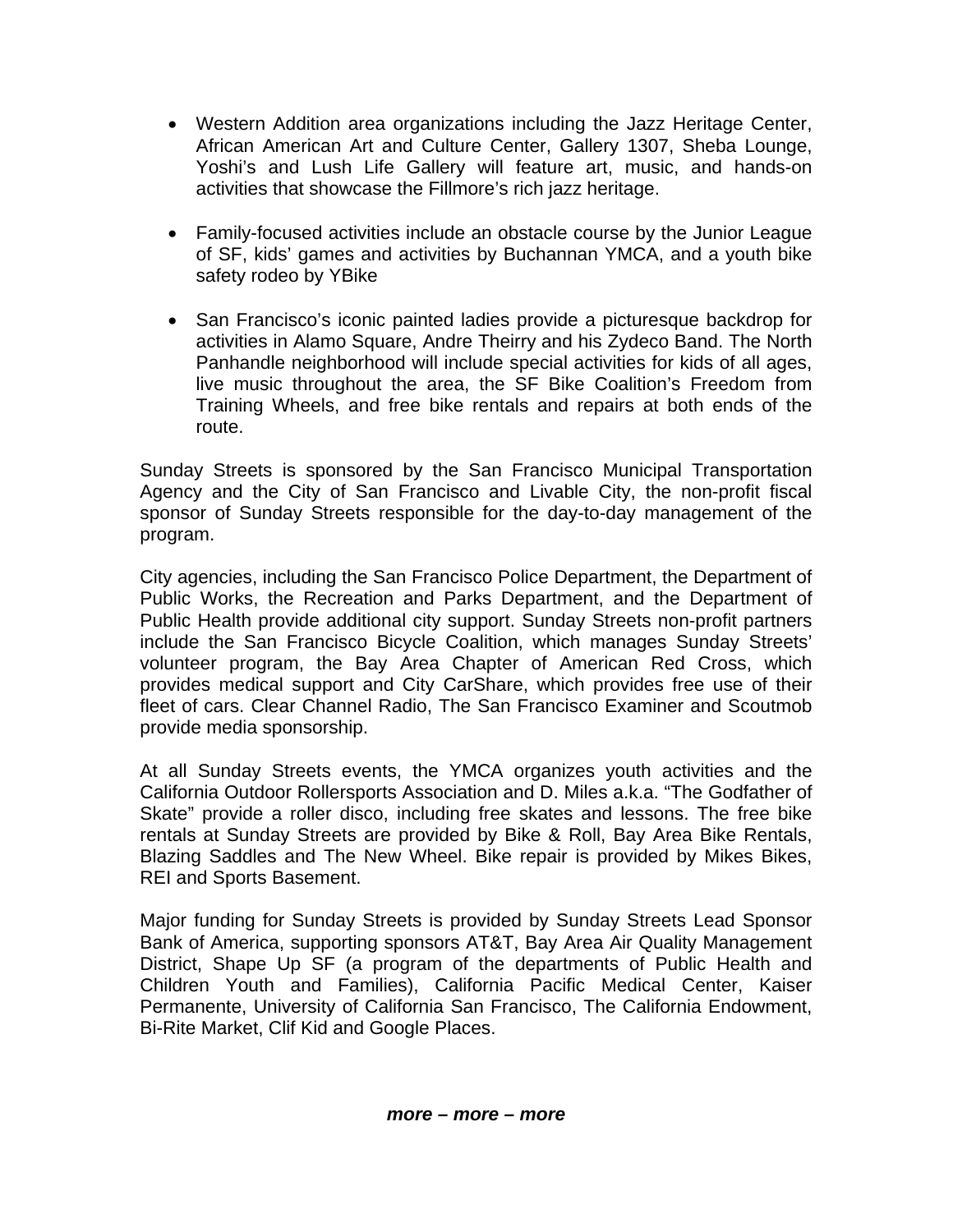- Western Addition area organizations including the Jazz Heritage Center, African American Art and Culture Center, Gallery 1307, Sheba Lounge, Yoshi's and Lush Life Gallery will feature art, music, and hands-on activities that showcase the Fillmore's rich jazz heritage.
- Family-focused activities include an obstacle course by the Junior League of SF, kids' games and activities by Buchannan YMCA, and a youth bike safety rodeo by YBike
- San Francisco's iconic painted ladies provide a picturesque backdrop for activities in Alamo Square, Andre Theirry and his Zydeco Band. The North Panhandle neighborhood will include special activities for kids of all ages, live music throughout the area, the SF Bike Coalition's Freedom from Training Wheels, and free bike rentals and repairs at both ends of the route.

Sunday Streets is sponsored by the San Francisco Municipal Transportation Agency and the City of San Francisco and Livable City, the non-profit fiscal sponsor of Sunday Streets responsible for the day-to-day management of the program.

City agencies, including the San Francisco Police Department, the Department of Public Works, the Recreation and Parks Department, and the Department of Public Health provide additional city support. Sunday Streets non-profit partners include the San Francisco Bicycle Coalition, which manages Sunday Streets' volunteer program, the Bay Area Chapter of American Red Cross, which provides medical support and City CarShare, which provides free use of their fleet of cars. Clear Channel Radio, The San Francisco Examiner and Scoutmob provide media sponsorship.

At all Sunday Streets events, the YMCA organizes youth activities and the California Outdoor Rollersports Association and D. Miles a.k.a. "The Godfather of Skate" provide a roller disco, including free skates and lessons. The free bike rentals at Sunday Streets are provided by Bike & Roll, Bay Area Bike Rentals, Blazing Saddles and The New Wheel. Bike repair is provided by Mikes Bikes, REI and Sports Basement.

Major funding for Sunday Streets is provided by Sunday Streets Lead Sponsor Bank of America, supporting sponsors AT&T, Bay Area Air Quality Management District, Shape Up SF (a program of the departments of Public Health and Children Youth and Families), California Pacific Medical Center, Kaiser Permanente, University of California San Francisco, The California Endowment, Bi-Rite Market, Clif Kid and Google Places.